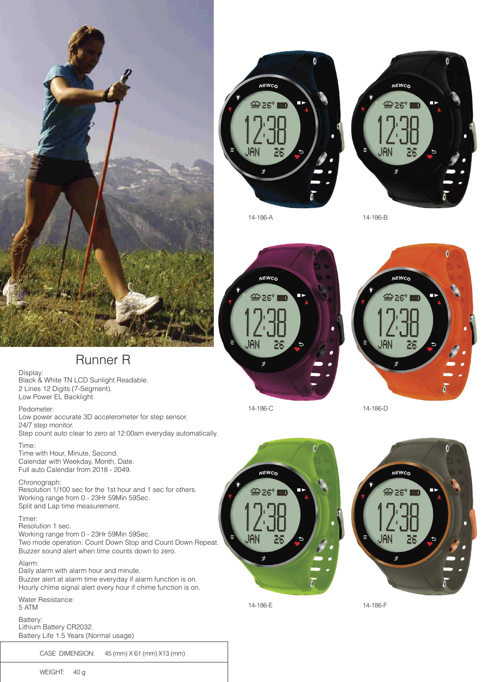





14-186-A 14-186-B



 $\ddot{\mathbf{0}}$ **NEWCO** <u> කිසින්</u>

14-186-C 14-186-D

**NEWCO** 

DG.



# Runner R

Display: Black & White TN LCD Sunlight Readable. 2 Lines 12 Digits (7-Segment). Low Power EL Backlight.

Pedometer:

Low power accurate 3D accelerometer for step sensor. 24/7 step monitor. Step count auto clear to zero at 12:00am everyday automatically.

Time: Time with Hour, Minute, Second.

Calendar with Weekday, Month, Date. Full auto Calendar from 2018 - 2049.

Chronograph:

Resolution 1/100 sec for the 1st hour and 1 sec for others. Working range from 0 - 23Hr 59Min 59Sec. Split and Lap time measurement.

# Timer:

Resolution 1 sec. Working range from 0 - 23Hr 59Min 59Sec. Two mode operation: Count Down Stop and Count Down Repeat. Buzzer sound alert when time counts down to zero.

Alarm: Daily alarm with alarm hour and minute. Buzzer alert at alarm time everyday if alarm function is on. Hourly chime signal alert every hour if chime function is on.

Water Resistance: 5 ATM

Battery: Lithium Battery CR2032. Battery Life 1.5 Years (Normal usage)

CASE DIMENSION: 45 (mm) X 61 (mm) X13 (mm)



14-186-E 14-186-F

JAN